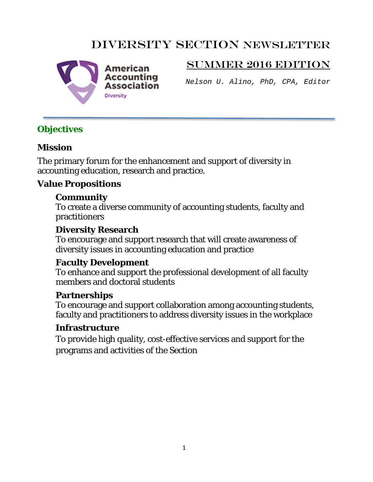# DIVERSITY SECTION Newsletter



# Summer 2016 Edition

*Nelson U. Alino, PhD, CPA, Editor*

# **Objectives**

# **Mission**

The primary forum for the enhancement and support of diversity in accounting education, research and practice.

# **Value Propositions**

# **Community**

To create a diverse community of accounting students, faculty and practitioners

# **Diversity Research**

To encourage and support research that will create awareness of diversity issues in accounting education and practice

# **Faculty Development**

To enhance and support the professional development of all faculty members and doctoral students

# **Partnerships**

To encourage and support collaboration among accounting students, faculty and practitioners to address diversity issues in the workplace

# **Infrastructure**

To provide high quality, cost-effective services and support for the programs and activities of the Section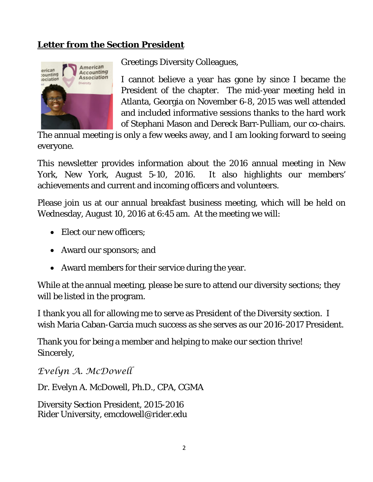# **Letter from the Section President**



Greetings Diversity Colleagues,

I cannot believe a year has gone by since I became the President of the chapter. The mid-year meeting held in Atlanta, Georgia on November 6-8, 2015 was well attended and included informative sessions thanks to the hard work of Stephani Mason and Dereck Barr-Pulliam, our co-chairs.

The annual meeting is only a few weeks away, and I am looking forward to seeing everyone.

This newsletter provides information about the 2016 annual meeting in New York, New York, August 5-10, 2016. It also highlights our members' achievements and current and incoming officers and volunteers.

Please join us at our annual breakfast business meeting, which will be held on Wednesday, August 10, 2016 at 6:45 am. At the meeting we will:

- Elect our new officers:
- Award our sponsors; and
- Award members for their service during the year.

While at the annual meeting, please be sure to attend our diversity sections; they will be listed in the program.

I thank you all for allowing me to serve as President of the Diversity section. I wish Maria Caban-Garcia much success as she serves as our 2016-2017 President.

Thank you for being a member and helping to make our section thrive! Sincerely,

*Evelyn A. McDowell*

Dr. Evelyn A. McDowell, Ph.D., CPA, CGMA

Diversity Section President, 2015-2016 Rider University, emcdowell@rider.edu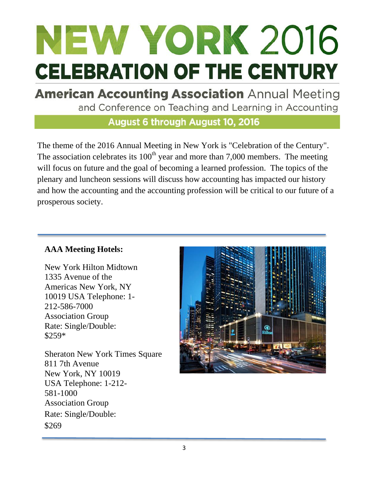# **NEW YORK 2016 CELEBRATION OF THE CENTURY**

**American Accounting Association Annual Meeting** and Conference on Teaching and Learning in Accounting

August 6 through August 10, 2016

The theme of the 2016 Annual Meeting in New York is "Celebration of the Century". The association celebrates its  $100<sup>th</sup>$  year and more than 7,000 members. The meeting will focus on future and the goal of becoming a learned profession. The topics of the plenary and luncheon sessions will discuss how accounting has impacted our history and how the accounting and the accounting profession will be critical to our future of a prosperous society.

# **AAA Meeting Hotels:**

New York Hilton Midtown 1335 Avenue of the Americas New York, NY 10019 USA Telephone: 1- 212-586-7000 Association Group Rate: Single/Double: \$259\*

Sheraton New York Times Square 811 7th Avenue New York, NY 10019 USA Telephone: 1-212- 581-1000 Association Group Rate: Single/Double: \$269

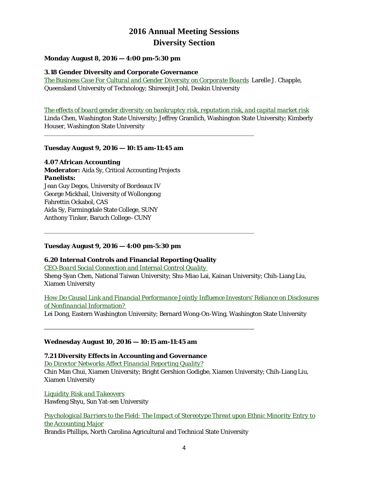# **2016 Annual Meeting Sessions Diversity Section**

#### **Monday August 8, 2016 — 4:00 pm-5:30 pm**

#### **3.18 Gender Diversity and Corporate Governance**

*[The Business Case For Cultural and Gender Diversity on Corporate Boards](https://www2.aaahq.org/AM/abstract.cfm?submissionID=1945)* Larelle J. Chapple, Queensland University of Technology; Shireenjit Johl, Deakin University

*[The effects of board gender diversity on bankruptcy risk, reputation risk, and capital market risk](https://www2.aaahq.org/AM/abstract.cfm?submissionID=4083)* Linda Chen, Washington State University; Jeffrey Gramlich, Washington State University; Kimberly Houser, Washington State University

#### **Tuesday August 9, 2016 — 10:15 am-11:45 am**

#### **4.07 African Accounting Moderator:** Aida Sy, Critical Accounting Projects *Panelists:* Jean Guy Degos, University of Bordeaux IV George Mickhail, University of Wollongong Fahrettin Ockabol, CAS Aida Sy, Farmingdale State College, SUNY Anthony Tinker, Baruch College–CUNY

#### **Tuesday August 9, 2016 — 4:00 pm-5:30 pm**

#### **6.20 Internal Controls and Financial Reporting Quality**

*[CEO-Board Social Connection and Internal Control Quality](https://www2.aaahq.org/AM/abstract.cfm?submissionID=4040)* Sheng-Syan Chen, National Taiwan University; Shu-Miao Lai, Kainan University; Chih-Liang Liu, Xiamen University

#### *[How Do Causal Link and Financial Performance Jointly Influence Investors' Reliance on Disclosures](https://www2.aaahq.org/AM/abstract.cfm?submissionID=2306)  [of Nonfinancial Information?](https://www2.aaahq.org/AM/abstract.cfm?submissionID=2306)*

Lei Dong, Eastern Washington University; Bernard Wong-On-Wing, Washington State University

#### **Wednesday August 10, 2016 — 10:15 am-11:45 am**

**7.21 Diversity Effects in Accounting and Governance** *[Do Director Networks Affect Financial Reporting Quality?](https://www2.aaahq.org/AM/abstract.cfm?submissionID=2631)* Chin Man Chui, Xiamen University; Bright Gershion Godigbe, Xiamen University; Chih-Liang Liu, Xiamen University

*[Liquidity Risk and Takeovers](https://www2.aaahq.org/AM/abstract.cfm?submissionID=2780)* Hawfeng Shyu, Sun Yat-sen University

*[Psychological Barriers to the Field: The Impact of Stereotype Threat upon Ethnic Minority Entry to](https://www2.aaahq.org/AM/abstract.cfm?submissionID=776)  [the Accounting Major](https://www2.aaahq.org/AM/abstract.cfm?submissionID=776)* Brandis Phillips, North Carolina Agricultural and Technical State University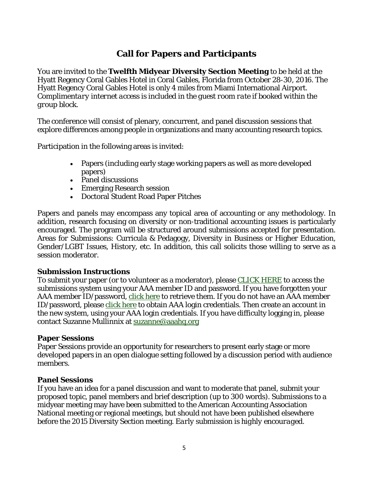# **Call for Papers and Participants**

You are invited to the **Twelfth Midyear Diversity Section Meeting** to be held at the Hyatt Regency Coral Gables Hotel in Coral Gables, Florida from October 28-30, 2016. The Hyatt Regency Coral Gables Hotel is only 4 miles from Miami International Airport. *Complimentary internet access is included in the guest room rate if booked within the group block.*

The conference will consist of plenary, concurrent, and panel discussion sessions that explore differences among people in organizations and many accounting research topics.

Participation in the following areas is invited:

- Papers (including early stage working papers as well as more developed papers)
- Panel discussions
- Emerging Research session
- Doctoral Student Road Paper Pitches

Papers and panels may encompass any topical area of accounting or any methodology. In addition, research focusing on diversity or non-traditional accounting issues is particularly encouraged. The program will be structured around submissions accepted for presentation. Areas for Submissions: Curricula & Pedagogy, Diversity in Business or Higher Education, Gender/LGBT Issues, History, etc. In addition, this call solicits those willing to serve as a session moderator.

## **Submission Instructions**

To submit your paper (or to volunteer as a moderator), please CLICK HERE to access the submissions system using your AAA member ID and password. If you have forgotten your AAA member ID/password, [click here](http://aaahq.org/Forgot-Password) to retrieve them. If you do not have an AAA member ID/password, please [click here](https://aaahq.org/Membership/Create-Account) to obtain AAA login credentials. Then create an account in the new system, using your AAA login credentials. If you have difficulty logging in, please contact Suzanne Mullinnix at [suzanne@aaahq.org](mailto:suzanne@aaahq.org?subject=Diversity%20Meeting%20Log-in)

## **Paper Sessions**

Paper Sessions provide an opportunity for researchers to present early stage or more developed papers in an open dialogue setting followed by a discussion period with audience members.

## **Panel Sessions**

If you have an idea for a panel discussion and want to moderate that panel, submit your proposed topic, panel members and brief description (up to 300 words). Submissions to a midyear meeting may have been submitted to the American Accounting Association National meeting or regional meetings, but should not have been published elsewhere before the 2015 Diversity Section meeting. *Early submission is highly encouraged*.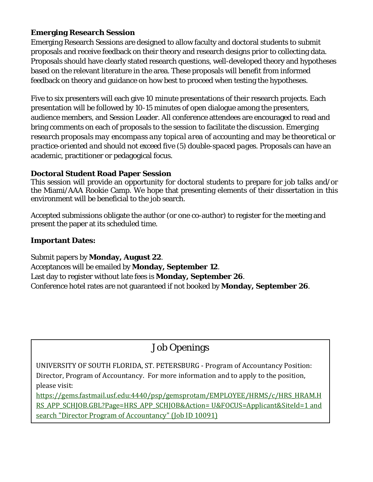# **Emerging Research Session**

Emerging Research Sessions are designed to allow faculty and doctoral students to submit proposals and receive feedback on their theory and research designs prior to collecting data. Proposals should have clearly stated research questions, well-developed theory and hypotheses based on the relevant literature in the area. These proposals will benefit from informed feedback on theory and guidance on how best to proceed when testing the hypotheses.

Five to six presenters will each give 10 minute presentations of their research projects. Each presentation will be followed by 10-15 minutes of open dialogue among the presenters, audience members, and Session Leader. All conference attendees are encouraged to read and bring comments on each of proposals to the session to facilitate the discussion. *Emerging research proposals may encompass any topical area of accounting and may be theoretical or practice-oriented and should not exceed five (5) double-spaced pages*. Proposals can have an academic, practitioner or pedagogical focus.

# **Doctoral Student Road Paper Session**

This session will provide an opportunity for doctoral students to prepare for job talks and/or the Miami/AAA Rookie Camp. We hope that presenting elements of their dissertation in this environment will be beneficial to the job search.

Accepted submissions obligate the author (or one co-author) to register for the meeting and present the paper at its scheduled time.

# **Important Dates:**

Submit papers by **Monday, August 22**. Acceptances will be emailed by **Monday, September 12**. Last day to register without late fees is **Monday, September 26**. Conference hotel rates are not guaranteed if not booked by **Monday, September 26**.

# Job Openings

UNIVERSITY OF SOUTH FLORIDA, ST. PETERSBURG - Program of Accountancy Position: Director, Program of Accountancy. For more information and to apply to the position, please visit:

https://gems.fastmail.usf.edu:4440/psp/gemsprotam/EMPLOYEE/HRMS/c/HRS\_HRAM.H RS APP\_SCHJOB.GBL?Page=HRS\_APP\_SCHJOB&Action= U&FOCUS=Applicant&SiteId=1 and search "Director Program of Accountancy" (Job ID 10091)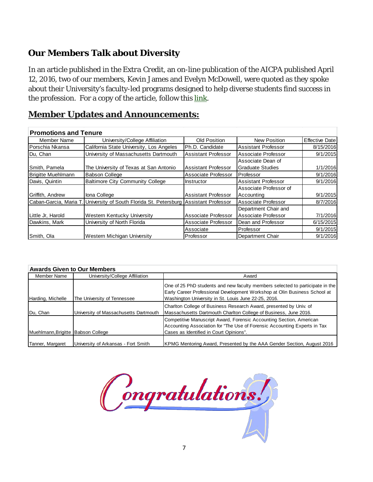# **Our Members Talk about Diversity**

In an article published in the *Extra Credit*, an on-line publication of the AICPA published April 12, 2016, two of our members, Kevin James and Evelyn McDowell, were quoted as they spoke about their University's faculty-led programs designed to help diverse students find success in the profession. For a copy of the article, follow this [link.](http://www.aicpa.org/InterestAreas/AccountingEducation/NewsAndPublications/Pages/diversity-in-accounting-pipeline.aspx?utm_source=mnl:extracredit&utm_medium=email&utm_campaign=12Apr2016)

# **Member Updates and Announcements:**

| <b>Promotions and Tenure</b> |                                                                                       |                            |                            |                |  |  |
|------------------------------|---------------------------------------------------------------------------------------|----------------------------|----------------------------|----------------|--|--|
| Member Name                  | University/College Affiliation                                                        | Old Position               | <b>New Position</b>        | Effective Date |  |  |
| Porschia Nkansa              | California State University, Los Angeles                                              | Ph.D. Candidate            | <b>Assistant Professor</b> | 8/15/2016      |  |  |
| Du, Chan                     | University of Massachusetts Dartmouth                                                 | <b>Assistant Professor</b> | Associate Professor        | 9/1/2015       |  |  |
|                              |                                                                                       |                            | Associate Dean of          |                |  |  |
| Smith, Pamela                | The University of Texas at San Antonio                                                | Assistant Professor        | <b>Graduate Studies</b>    | 1/1/2016       |  |  |
| <b>Brigitte Muehlmann</b>    | <b>Babson College</b>                                                                 | Associate Professor        | Professor                  | 9/1/2016       |  |  |
| Davis, Quintin               | <b>Baltimore City Community College</b>                                               | Instructor                 | <b>Assistant Professor</b> | 9/1/2016       |  |  |
|                              |                                                                                       |                            | Associate Professor of     |                |  |  |
| Griffith, Andrew             | Iona College                                                                          | Assistant Professor        | Accounting                 | 9/1/2015       |  |  |
|                              | Caban-Garcia, Maria T. University of South Florida St. Petersburg Assistant Professor |                            | Associate Professor        | 8/7/2016       |  |  |
|                              |                                                                                       |                            | Department Chair and       |                |  |  |
| Little Jr. Harold            | Western Kentucky University                                                           | Associate Professor        | Associate Professor        | 7/1/2016       |  |  |
| Dawkins, Mark                | University of North Florida                                                           | Associate Professor        | Dean and Professor         | 6/15/2015      |  |  |
|                              |                                                                                       | Associate                  | Professor                  | 9/1/2015       |  |  |
| Smith, Ola                   | Western Michigan University                                                           | Professor                  | Department Chair           | 9/1/2016       |  |  |

| <b>Awards Given to Our Members</b> |                                       |                                                                                                                                                                                                                    |  |  |
|------------------------------------|---------------------------------------|--------------------------------------------------------------------------------------------------------------------------------------------------------------------------------------------------------------------|--|--|
| Member Name                        | University/College Affiliation        | Award                                                                                                                                                                                                              |  |  |
| Harding, Michelle                  | The University of Tennessee           | One of 25 PhD students and new faculty members selected to participate in the<br>Early Career Professional Development Workshop at Olin Business School at<br>Washington University in St. Louis June 22-25, 2016. |  |  |
| Du, Chan                           | University of Massachusetts Dartmouth | Charlton College of Business Research Award, presented by Univ. of<br>Massachusetts Dartmouth Charlton College of Business, June 2016.                                                                             |  |  |
| Muehlmann, Brigitte Babson College |                                       | Competitive Manuscript Award, Forensic Accounting Section, American<br>Accounting Association for "The Use of Forensic Accounting Experts in Tax<br>Cases as Identified in Court Opinions".                        |  |  |
| Tanner, Margaret                   | University of Arkansas - Fort Smith   | KPMG Mentoring Award, Presented by the AAA Gender Section, August 2016                                                                                                                                             |  |  |

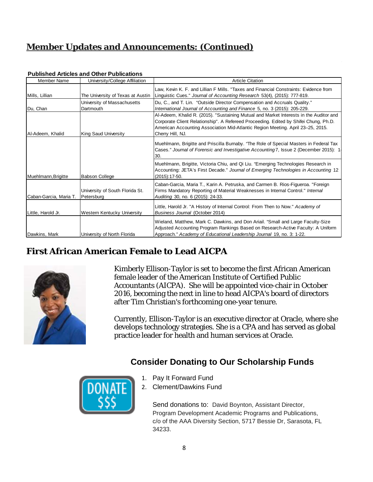# **Member Updates and Announcements: (Continued)**

| Member Name            | University/College Affiliation                | <b>Article Citation</b>                                                                                                                                                                                                                                                               |
|------------------------|-----------------------------------------------|---------------------------------------------------------------------------------------------------------------------------------------------------------------------------------------------------------------------------------------------------------------------------------------|
| Mills, Lillian         | The University of Texas at Austin             | Law, Kevin K. F. and Lillian F Mills. "Taxes and Financial Constraints: Evidence from<br>Linguistic Cues." Journal of Accounting Research 53(4), (2015): 777-819.                                                                                                                     |
| Du, Chan               | University of Massachusetts<br>Dartmouth      | Du, C., and T. Lin. "Outside Director Compensation and Accruals Quality."<br>International Journal of Accounting and Finance 5, no. 3 (2015): 205-229.                                                                                                                                |
| Al-Adeem, Khalid       | King Saud University                          | Al-Adeem, Khalid R. (2015). "Sustaining Mutual and Market Interests in the Auditor and<br>Corporate Client Relationship". A Refereed Proceeding. Edited by Shifei Chung, Ph.D.<br>American Accounting Association Mid-Atlantic Region Meeting. April 23–25, 2015.<br>Cherry Hill, NJ. |
|                        |                                               | Muehlmann, Brigitte and Priscilla Burnaby. "The Role of Special Masters in Federal Tax<br>Cases." Journal of Forensic and Investigative Accounting 7, Issue 2 (December 2015): 1<br>30.                                                                                               |
| Muehlmann, Brigitte    | <b>Babson College</b>                         | Muehlmann, Brigitte, Victoria Chiu, and Qi Liu. "Emerging Technologies Research in<br>Accounting: JETA's First Decade." Journal of Emerging Technologies in Accounting 12<br>$(2015): 17-50.$                                                                                         |
| Caban-Garcia, Maria T. | University of South Florida St.<br>Petersburg | Caban-Garcia, Maria T., Karin A. Petruska, and Carmen B. Rios-Figueroa. "Foreign<br>Firms Mandatory Reporting of Material Weaknesses in Internal Control." Internal<br>Auditing 30, no. 6 (2015): 24-33.                                                                              |
| Little, Harold Jr.     | Western Kentucky University                   | Little, Harold Jr. "A History of Internal Control: From Then to Now." Academy of<br>Business Journal (October 2014)                                                                                                                                                                   |
| Dawkins, Mark          | University of North Florida                   | Wieland, Matthew, Mark C. Dawkins, and Don Ariail. "Small and Large Faculty-Size<br>Adjusted Accounting Program Rankings Based on Research-Active Faculty: A Uniform<br>Approach." Academy of Educational Leadership Journal 19, no. 3: 1-22.                                         |

#### **Published Articles and Other Publications**

# **First African American Female to Lead AICPA**



Kimberly Ellison-Taylor is set to become the first African American female leader of the American Institute of Certified Public Accountants (AICPA). She will be appointed vice-chair in October 2016, becoming the next in line to head AICPA's board of directors after Tim Christian's forthcoming one-year tenure.

Currently, Ellison-Taylor is an executive director at Oracle, where she develops technology strategies. She is a CPA and has served as global practice leader for health and human services at Oracle.

# **Consider Donating to Our Scholarship Funds**



- 1. Pay It Forward Fund
- 2. Clement/Dawkins Fund

Send donations to: David Boynton, Assistant Director, Program Development Academic Programs and Publications, c/o of the AAA Diversity Section, 5717 Bessie Dr, Sarasota, FL 34233.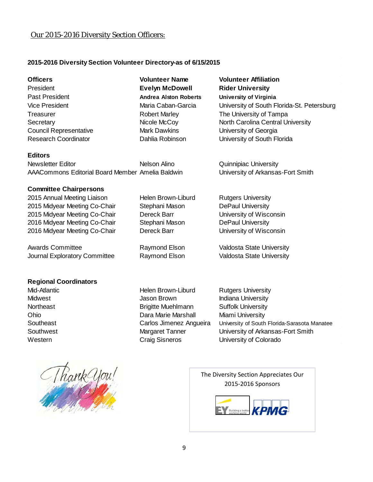#### Our 2015-2016 Diversity Section Officers:

#### **2015-2016 Diversity Section Volunteer Directory-as of 6/15/2015**

| <b>Officers</b>               | <b>Volunteer Name</b>        | <b>Volunteer Affiliation</b>               |
|-------------------------------|------------------------------|--------------------------------------------|
| President                     | <b>Evelyn McDowell</b>       | <b>Rider University</b>                    |
| Past President                | <b>Andrea Alston Roberts</b> | <b>University of Virginia</b>              |
| <b>Vice President</b>         | Maria Caban-Garcia           | University of South Florida-St. Petersburg |
| Treasurer                     | <b>Robert Marley</b>         | The University of Tampa                    |
| Secretary                     | Nicole McCoy                 | North Carolina Central University          |
| <b>Council Representative</b> | <b>Mark Dawkins</b>          | University of Georgia                      |
| <b>Research Coordinator</b>   | Dahlia Robinson              | University of South Florida                |
| <b>Editors</b>                |                              |                                            |

Newsletter Editor **Nelson Alino Nelson Alino Quinnipiac University** AAACommons Editorial Board Member Amelia Baldwin University of Arkansas-Fort Smith

#### **Committee Chairpersons**

2015 Annual Meeting Liaison **Helen Brown-Liburd** Rutgers University 2015 Midyear Meeting Co-Chair Stephani Mason DePaul University 2015 Midyear Meeting Co-Chair Dereck Barr University of Wisconsin 2016 Midyear Meeting Co-Chair Stephani Mason DePaul University 2016 Midyear Meeting Co-Chair Dereck Barr University of Wisconsin

Awards Committee **Raymond Elson** Valdosta State University Journal Exploratory Committee Raymond Elson Valdosta State University

#### **Regional Coordinators**



Mid-Atlantic **Helen Brown-Liburd** Rutgers University Midwest **Indiana** University Jason Brown **Indiana University** Northeast **Brigitte Muehlmann** Suffolk University Ohio **Dara Marie Marshall** Miami University

Southeast **Carlos Jimenez Angueira** University of South Florida-Sarasota Manatee Southwest **Margaret Tanner** University of Arkansas-Fort Smith Western **Craig Sisneros** University of Colorado

> The Diversity Section Appreciates Our 2015-2016 Sponsors